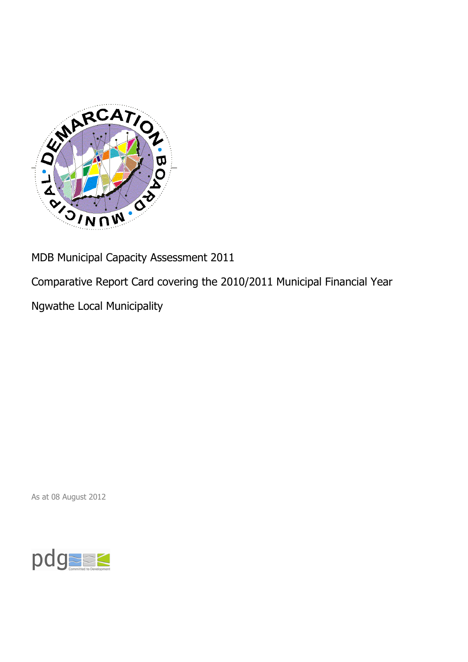

MDB Municipal Capacity Assessment 2011

Comparative Report Card covering the 2010/2011 Municipal Financial Year

Ngwathe Local Municipality

As at 08 August 2012

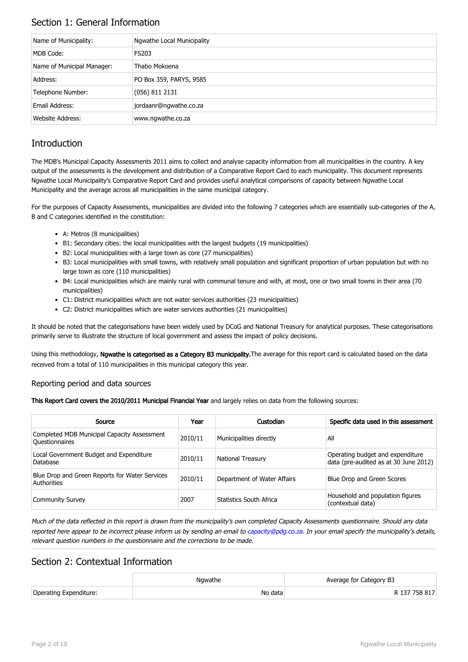## Section 1: General Information

| Name of Municipality:      | Ngwathe Local Municipality |
|----------------------------|----------------------------|
| MDB Code:                  | <b>FS203</b>               |
| Name of Municipal Manager: | Thabo Mokoena              |
| Address:                   | PO Box 359, PARYS, 9585    |
| Telephone Number:          | $(056)$ 811 2131           |
| Email Address:             | jordaanr@ngwathe.co.za     |
| <b>Website Address:</b>    | www.ngwathe.co.za          |

# **Introduction**

The MDB's Municipal Capacity Assessments 2011 aims to collect and analyse capacity information from all municipalities in the country. A key output of the assessments is the development and distribution of a Comparative Report Card to each municipality. This document represents Ngwathe Local Municipality's Comparative Report Card and provides useful analytical comparisons of capacity between Ngwathe Local Municipality and the average across all municipalities in the same municipal category.

For the purposes of Capacity Assessments, municipalities are divided into the following 7 categories which are essentially sub-categories of the A, B and C categories identified in the constitution:

- A: Metros (8 municipalities)
- B1: Secondary cities: the local municipalities with the largest budgets (19 municipalities)
- B2: Local municipalities with a large town as core (27 municipalities)
- B3: Local municipalities with small towns, with relatively small population and significant proportion of urban population but with no large town as core (110 municipalities)
- B4: Local municipalities which are mainly rural with communal tenure and with, at most, one or two small towns in their area (70 municipalities)
- C1: District municipalities which are not water services authorities (23 municipalities)
- C2: District municipalities which are water services authorities (21 municipalities)

It should be noted that the categorisations have been widely used by DCoG and National Treasury for analytical purposes. These categorisations primarily serve to illustrate the structure of local government and assess the impact of policy decisions.

Using this methodology, Ngwathe is categorised as a Category B3 municipality. The average for this report card is calculated based on the data received from a total of 110 municipalities in this municipal category this year.

#### Reporting period and data sources

This Report Card covers the 2010/2011 Municipal Financial Year and largely relies on data from the following sources:

| Source                                                               | Year    | Custodian                   | Specific data used in this assessment                                     |
|----------------------------------------------------------------------|---------|-----------------------------|---------------------------------------------------------------------------|
| Completed MDB Municipal Capacity Assessment<br><b>Ouestionnaires</b> | 2010/11 | Municipalities directly     | All                                                                       |
| Local Government Budget and Expenditure<br>Database                  | 2010/11 | <b>National Treasury</b>    | Operating budget and expenditure<br>data (pre-audited as at 30 June 2012) |
| Blue Drop and Green Reports for Water Services<br>Authorities        | 2010/11 | Department of Water Affairs | Blue Drop and Green Scores                                                |
| <b>Community Survey</b>                                              | 2007    | Statistics South Africa     | Household and population figures<br>(contextual data)                     |

Much of the data reflected in this report is drawn from the municipality's own completed Capacity Assessments questionnaire. Should any data reported here appear to be incorrect please inform us by sending an email to [capacity@pdg.co.za](mailto:capacity@pdg.co.za). In your email specify the municipality's details, relevant question numbers in the questionnaire and the corrections to be made.

## Section 2: Contextual Information

|                        | Nawathe | Average for Category B3 |
|------------------------|---------|-------------------------|
| Operating Expenditure: | No data | R 137 758 817           |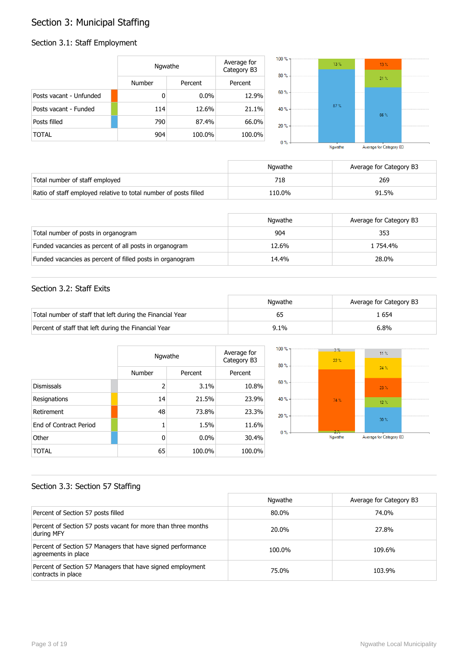# Section 3: Municipal Staffing

## Section 3.1: Staff Employment

|                         | Ngwathe |         | Average for<br>Category B3 | $100 \%$ -<br>$80% -$ | 13% | 13% |  |
|-------------------------|---------|---------|----------------------------|-----------------------|-----|-----|--|
|                         | Number  | Percent | Percent                    |                       |     | 21% |  |
| Posts vacant - Unfunded | 0       | $0.0\%$ | 12.9%                      | $60% -$               |     |     |  |
| Posts vacant - Funded   | 114     | 12.6%   | 21.1%                      | 40 % -                | 87% | 66% |  |
| Posts filled            | 790     | 87.4%   | 66.0%                      | $20% -$               |     |     |  |
| <b>TOTAL</b>            | 904     | 100.0%  | 100.0%                     | $0\%$ -               |     |     |  |

| Ngwathe | Average for Category B3 |  |
|---------|-------------------------|--|

|                                                                  | Nawathe | Average for Category B3 |
|------------------------------------------------------------------|---------|-------------------------|
| Total number of staff employed                                   | 718     | 269                     |
| Ratio of staff employed relative to total number of posts filled | 110.0%  | 91.5%                   |

|                                                           | Ngwathe | Average for Category B3 |
|-----------------------------------------------------------|---------|-------------------------|
| Total number of posts in organogram                       | 904     | 353                     |
| Funded vacancies as percent of all posts in organogram    | 12.6%   | 1 754.4%                |
| Funded vacancies as percent of filled posts in organogram | 14.4%   | 28.0%                   |

### Section 3.2: Staff Exits

|                                                           | Ngwathe | Average for Category B3 |
|-----------------------------------------------------------|---------|-------------------------|
| Total number of staff that left during the Financial Year |         | . 654                   |
| Percent of staff that left during the Financial Year      | 9.1%    | 6.8%                    |

|                        |                | Ngwathe |         |  |
|------------------------|----------------|---------|---------|--|
|                        | Number         | Percent | Percent |  |
| <b>Dismissals</b>      | $\overline{2}$ | 3.1%    | 10.8%   |  |
| Resignations           | 14             | 21.5%   | 23.9%   |  |
| Retirement             | 48             | 73.8%   | 23.3%   |  |
| End of Contract Period |                | 1.5%    | 11.6%   |  |
| Other                  | 0              | 0.0%    | 30.4%   |  |
| TOTAL                  | 65             | 100.0%  | 100.0%  |  |



### Section 3.3: Section 57 Staffing

|                                                                                    | Ngwathe | Average for Category B3 |
|------------------------------------------------------------------------------------|---------|-------------------------|
| Percent of Section 57 posts filled                                                 | 80.0%   | 74.0%                   |
| Percent of Section 57 posts vacant for more than three months<br>during MFY        | 20.0%   | 27.8%                   |
| Percent of Section 57 Managers that have signed performance<br>agreements in place | 100.0%  | 109.6%                  |
| Percent of Section 57 Managers that have signed employment<br>contracts in place   | 75.0%   | 103.9%                  |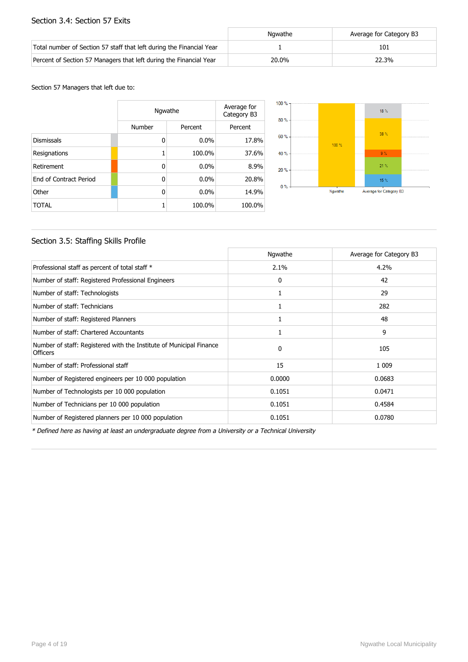#### Section 3.4: Section 57 Exits

|                                                                      | Nawathe | Average for Category B3 |
|----------------------------------------------------------------------|---------|-------------------------|
| Total number of Section 57 staff that left during the Financial Year |         | 101                     |
| Percent of Section 57 Managers that left during the Financial Year   | 20.0%   | 22.3%                   |

#### Section 57 Managers that left due to:

|                        |        | Ngwathe |         |  |
|------------------------|--------|---------|---------|--|
|                        | Number | Percent | Percent |  |
| <b>Dismissals</b>      | 0      | $0.0\%$ | 17.8%   |  |
| Resignations           | 1      | 100.0%  | 37.6%   |  |
| Retirement             | 0      | $0.0\%$ | 8.9%    |  |
| End of Contract Period | 0      | $0.0\%$ | 20.8%   |  |
| Other                  | 0      | $0.0\%$ | 14.9%   |  |
| <b>TOTAL</b>           | 1      | 100.0%  | 100.0%  |  |



### Section 3.5: Staffing Skills Profile

|                                                                                        | Ngwathe  | Average for Category B3 |
|----------------------------------------------------------------------------------------|----------|-------------------------|
| Professional staff as percent of total staff *                                         | $2.1\%$  | 4.2%                    |
| Number of staff: Registered Professional Engineers                                     | 0        | 42                      |
| Number of staff: Technologists                                                         |          | 29                      |
| Number of staff: Technicians                                                           |          | 282                     |
| Number of staff: Registered Planners                                                   | 1        | 48                      |
| Number of staff: Chartered Accountants                                                 |          | 9                       |
| Number of staff: Registered with the Institute of Municipal Finance<br><b>Officers</b> | $\Omega$ | 105                     |
| Number of staff: Professional staff                                                    | 15       | 1 0 0 9                 |
| Number of Registered engineers per 10 000 population                                   | 0.0000   | 0.0683                  |
| Number of Technologists per 10 000 population                                          | 0.1051   | 0.0471                  |
| Number of Technicians per 10 000 population                                            | 0.1051   | 0.4584                  |
| Number of Registered planners per 10 000 population                                    | 0.1051   | 0.0780                  |

\* Defined here as having at least an undergraduate degree from a University or a Technical University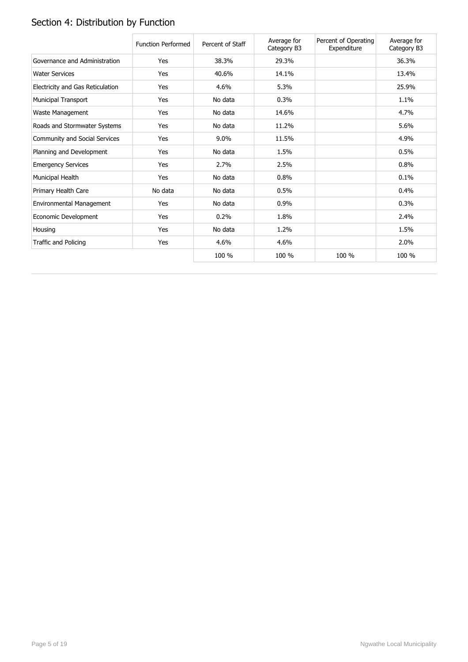# Section 4: Distribution by Function

|                                  | <b>Function Performed</b> | Percent of Staff | Average for<br>Category B3 | Percent of Operating<br>Expenditure | Average for<br>Category B3 |
|----------------------------------|---------------------------|------------------|----------------------------|-------------------------------------|----------------------------|
| Governance and Administration    | Yes                       | 38.3%            | 29.3%                      |                                     | 36.3%                      |
| <b>Water Services</b>            | Yes                       | 40.6%            | 14.1%                      |                                     | 13.4%                      |
| Electricity and Gas Reticulation | Yes                       | 4.6%             | 5.3%                       |                                     | 25.9%                      |
| <b>Municipal Transport</b>       | Yes                       | No data          | 0.3%                       |                                     | 1.1%                       |
| Waste Management                 | Yes                       | No data          | 14.6%                      |                                     | 4.7%                       |
| Roads and Stormwater Systems     | Yes                       | No data          | 11.2%                      |                                     | 5.6%                       |
| Community and Social Services    | Yes                       | 9.0%             | 11.5%                      |                                     | 4.9%                       |
| Planning and Development         | Yes                       | No data          | 1.5%                       |                                     | 0.5%                       |
| <b>Emergency Services</b>        | Yes                       | 2.7%             | 2.5%                       |                                     | 0.8%                       |
| Municipal Health                 | Yes                       | No data          | 0.8%                       |                                     | 0.1%                       |
| Primary Health Care              | No data                   | No data          | 0.5%                       |                                     | 0.4%                       |
| Environmental Management         | Yes                       | No data          | 0.9%                       |                                     | 0.3%                       |
| Economic Development             | Yes                       | 0.2%             | 1.8%                       |                                     | 2.4%                       |
| Housing                          | Yes                       | No data          | 1.2%                       |                                     | 1.5%                       |
| Traffic and Policing             | Yes                       | 4.6%             | 4.6%                       |                                     | 2.0%                       |
|                                  |                           | 100 %            | 100 %                      | 100 %                               | 100 %                      |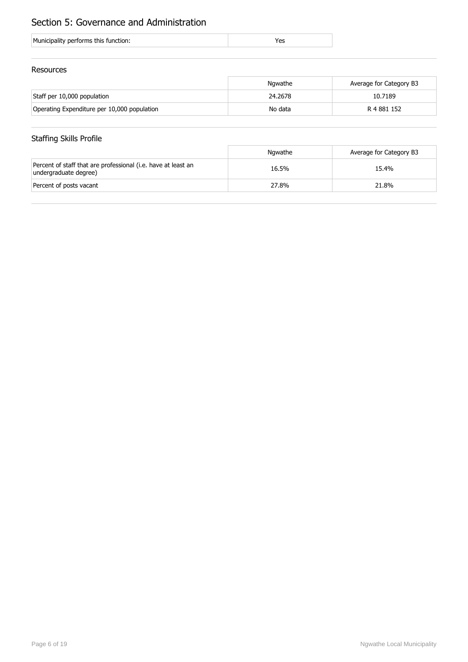# Section 5: Governance and Administration

| Municipality performs this function: |  |
|--------------------------------------|--|
|                                      |  |

### Resources

|                                             | Ngwathe | Average for Category B3 |
|---------------------------------------------|---------|-------------------------|
| Staff per 10,000 population                 | 24.2678 | 10.7189                 |
| Operating Expenditure per 10,000 population | No data | R 4 881 152             |

## Staffing Skills Profile

|                                                                                        | Ngwathe | Average for Category B3 |
|----------------------------------------------------------------------------------------|---------|-------------------------|
| Percent of staff that are professional (i.e. have at least an<br>undergraduate degree) | 16.5%   | 15.4%                   |
| Percent of posts vacant                                                                | 27.8%   | 21.8%                   |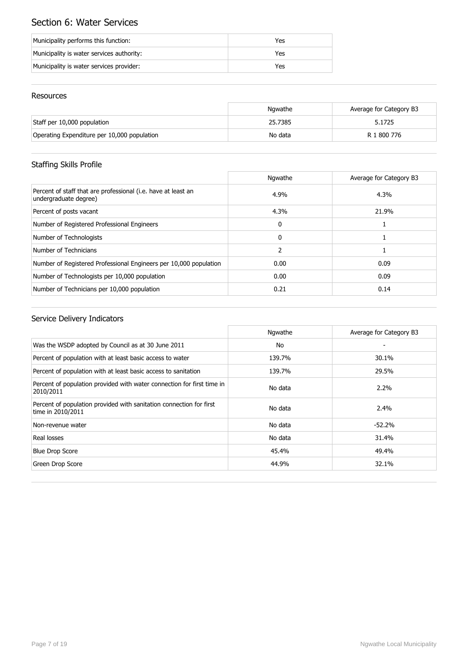# Section 6: Water Services

| Municipality performs this function:      | Yes |
|-------------------------------------------|-----|
| Municipality is water services authority: | Yes |
| Municipality is water services provider:  | Yes |

### Resources

|                                             | Ngwathe | Average for Category B3 |
|---------------------------------------------|---------|-------------------------|
| Staff per 10,000 population                 | 25.7385 | 5.1725                  |
| Operating Expenditure per 10,000 population | No data | R 1 800 776             |

# Staffing Skills Profile

|                                                                                        | Ngwathe       | Average for Category B3 |
|----------------------------------------------------------------------------------------|---------------|-------------------------|
| Percent of staff that are professional (i.e. have at least an<br>undergraduate degree) | 4.9%          | 4.3%                    |
| Percent of posts vacant                                                                | 4.3%          | 21.9%                   |
| Number of Registered Professional Engineers                                            | $\mathbf{0}$  |                         |
| Number of Technologists                                                                | $\Omega$      |                         |
| Number of Technicians                                                                  | $\mathcal{P}$ |                         |
| Number of Registered Professional Engineers per 10,000 population                      | 0.00          | 0.09                    |
| Number of Technologists per 10,000 population                                          | 0.00          | 0.09                    |
| Number of Technicians per 10,000 population                                            | 0.21          | 0.14                    |

|                                                                                          | Ngwathe | Average for Category B3 |
|------------------------------------------------------------------------------------------|---------|-------------------------|
| Was the WSDP adopted by Council as at 30 June 2011                                       | No      |                         |
| Percent of population with at least basic access to water                                | 139.7%  | 30.1%                   |
| Percent of population with at least basic access to sanitation                           | 139.7%  | 29.5%                   |
| Percent of population provided with water connection for first time in<br>2010/2011      | No data | $2.2\%$                 |
| Percent of population provided with sanitation connection for first<br>time in 2010/2011 | No data | 2.4%                    |
| Non-revenue water                                                                        | No data | $-52.2%$                |
| Real losses                                                                              | No data | 31.4%                   |
| <b>Blue Drop Score</b>                                                                   | 45.4%   | 49.4%                   |
| Green Drop Score                                                                         | 44.9%   | 32.1%                   |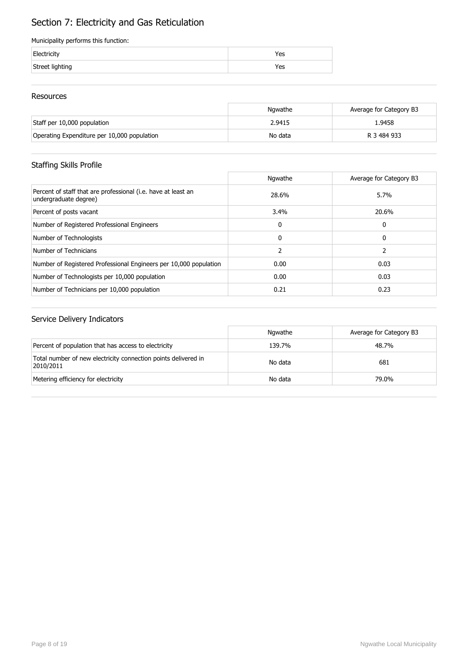# Section 7: Electricity and Gas Reticulation

#### Municipality performs this function:

| Electricity     | Yes |
|-----------------|-----|
| Street lighting | Yes |

### Resources

|                                             | Nawathe | Average for Category B3 |
|---------------------------------------------|---------|-------------------------|
| Staff per 10,000 population                 | 2.9415  | 1.9458                  |
| Operating Expenditure per 10,000 population | No data | R 3 484 933             |

## Staffing Skills Profile

|                                                                                        | Ngwathe       | Average for Category B3 |
|----------------------------------------------------------------------------------------|---------------|-------------------------|
| Percent of staff that are professional (i.e. have at least an<br>undergraduate degree) | 28.6%         | 5.7%                    |
| Percent of posts vacant                                                                | 3.4%          | 20.6%                   |
| Number of Registered Professional Engineers                                            | 0             | 0                       |
| Number of Technologists                                                                | 0             | 0                       |
| Number of Technicians                                                                  | $\mathcal{P}$ |                         |
| Number of Registered Professional Engineers per 10,000 population                      | 0.00          | 0.03                    |
| Number of Technologists per 10,000 population                                          | 0.00          | 0.03                    |
| Number of Technicians per 10,000 population                                            | 0.21          | 0.23                    |

|                                                                             | Ngwathe | Average for Category B3 |
|-----------------------------------------------------------------------------|---------|-------------------------|
| Percent of population that has access to electricity                        | 139.7%  | 48.7%                   |
| Total number of new electricity connection points delivered in<br>2010/2011 | No data | 681                     |
| Metering efficiency for electricity                                         | No data | 79.0%                   |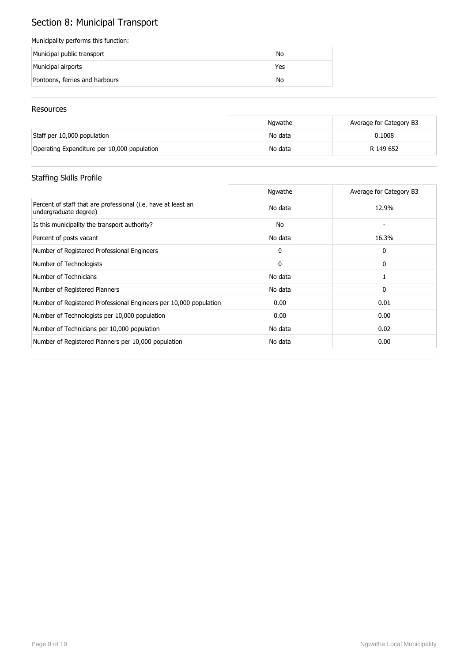# Section 8: Municipal Transport

#### Municipality performs this function:

| Municipal public transport     | No  |
|--------------------------------|-----|
| Municipal airports             | Yes |
| Pontoons, ferries and harbours | No  |

#### Resources

|                                             | Nawathe | Average for Category B3 |
|---------------------------------------------|---------|-------------------------|
| Staff per 10,000 population                 | No data | 0.1008                  |
| Operating Expenditure per 10,000 population | No data | R 149 652               |

# Staffing Skills Profile

|                                                                                        | Ngwathe | Average for Category B3 |
|----------------------------------------------------------------------------------------|---------|-------------------------|
| Percent of staff that are professional (i.e. have at least an<br>undergraduate degree) | No data | 12.9%                   |
| Is this municipality the transport authority?                                          | No      |                         |
| Percent of posts vacant                                                                | No data | 16.3%                   |
| Number of Registered Professional Engineers                                            | 0       | 0                       |
| Number of Technologists                                                                | 0       | 0                       |
| Number of Technicians                                                                  | No data |                         |
| Number of Registered Planners                                                          | No data | 0                       |
| Number of Registered Professional Engineers per 10,000 population                      | 0.00    | 0.01                    |
| Number of Technologists per 10,000 population                                          | 0.00    | 0.00                    |
| Number of Technicians per 10,000 population                                            | No data | 0.02                    |
| Number of Registered Planners per 10,000 population                                    | No data | 0.00                    |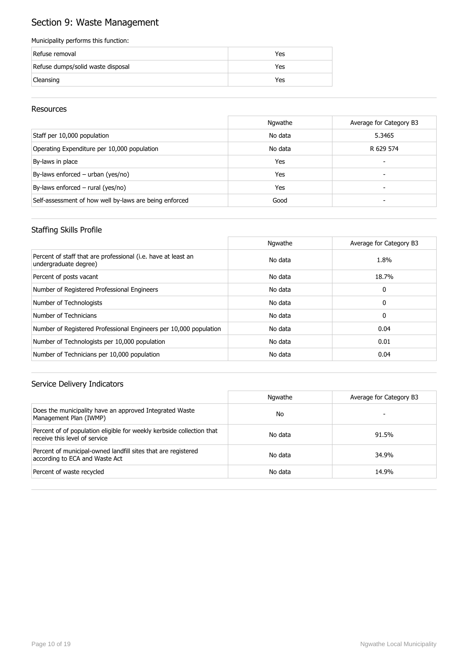# Section 9: Waste Management

#### Municipality performs this function:

| Refuse removal                    | Yes |
|-----------------------------------|-----|
| Refuse dumps/solid waste disposal | Yes |
| Cleansing                         | Yes |

#### Resources

|                                                        | Ngwathe | Average for Category B3 |
|--------------------------------------------------------|---------|-------------------------|
| Staff per 10,000 population                            | No data | 5.3465                  |
| Operating Expenditure per 10,000 population            | No data | R 629 574               |
| By-laws in place                                       | Yes     | -                       |
| By-laws enforced – urban (yes/no)                      | Yes     | -                       |
| By-laws enforced $-$ rural (yes/no)                    | Yes     |                         |
| Self-assessment of how well by-laws are being enforced | Good    |                         |

### Staffing Skills Profile

|                                                                                        | Ngwathe | Average for Category B3 |
|----------------------------------------------------------------------------------------|---------|-------------------------|
| Percent of staff that are professional (i.e. have at least an<br>undergraduate degree) | No data | 1.8%                    |
| Percent of posts vacant                                                                | No data | 18.7%                   |
| Number of Registered Professional Engineers                                            | No data | 0                       |
| Number of Technologists                                                                | No data | 0                       |
| Number of Technicians                                                                  | No data | 0                       |
| Number of Registered Professional Engineers per 10,000 population                      | No data | 0.04                    |
| Number of Technologists per 10,000 population                                          | No data | 0.01                    |
| Number of Technicians per 10,000 population                                            | No data | 0.04                    |

|                                                                                                        | Ngwathe | Average for Category B3 |
|--------------------------------------------------------------------------------------------------------|---------|-------------------------|
| Does the municipality have an approved Integrated Waste<br>Management Plan (IWMP)                      | No      |                         |
| Percent of of population eligible for weekly kerbside collection that<br>receive this level of service | No data | 91.5%                   |
| Percent of municipal-owned landfill sites that are registered<br>according to ECA and Waste Act        | No data | 34.9%                   |
| Percent of waste recycled                                                                              | No data | 14.9%                   |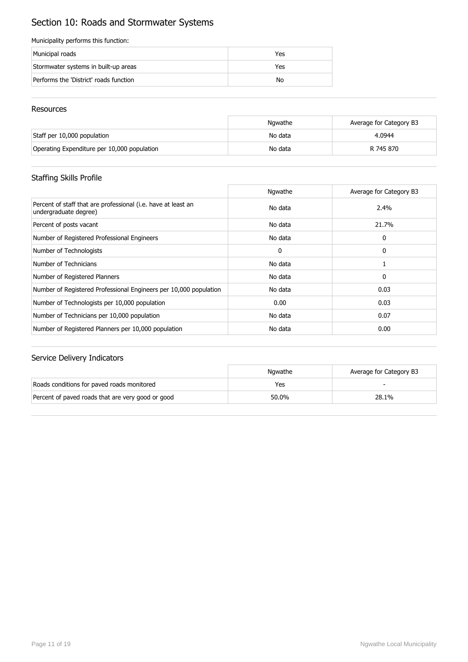# Section 10: Roads and Stormwater Systems

#### Municipality performs this function:

| Municipal roads                        | Yes |
|----------------------------------------|-----|
| Stormwater systems in built-up areas   | Yes |
| Performs the 'District' roads function | No  |

#### Resources

|                                             | Ngwathe | Average for Category B3 |
|---------------------------------------------|---------|-------------------------|
| Staff per 10,000 population                 | No data | 4.0944                  |
| Operating Expenditure per 10,000 population | No data | R 745 870               |

### Staffing Skills Profile

|                                                                                        | Ngwathe | Average for Category B3 |
|----------------------------------------------------------------------------------------|---------|-------------------------|
| Percent of staff that are professional (i.e. have at least an<br>undergraduate degree) | No data | 2.4%                    |
| Percent of posts vacant                                                                | No data | 21.7%                   |
| Number of Registered Professional Engineers                                            | No data | 0                       |
| Number of Technologists                                                                | 0       | 0                       |
| Number of Technicians                                                                  | No data |                         |
| Number of Registered Planners                                                          | No data | 0                       |
| Number of Registered Professional Engineers per 10,000 population                      | No data | 0.03                    |
| Number of Technologists per 10,000 population                                          | 0.00    | 0.03                    |
| Number of Technicians per 10,000 population                                            | No data | 0.07                    |
| Number of Registered Planners per 10,000 population                                    | No data | 0.00                    |

|                                                   | Nawathe | Average for Category B3 |
|---------------------------------------------------|---------|-------------------------|
| Roads conditions for paved roads monitored        | Yes     |                         |
| Percent of paved roads that are very good or good | 50.0%   | 28.1%                   |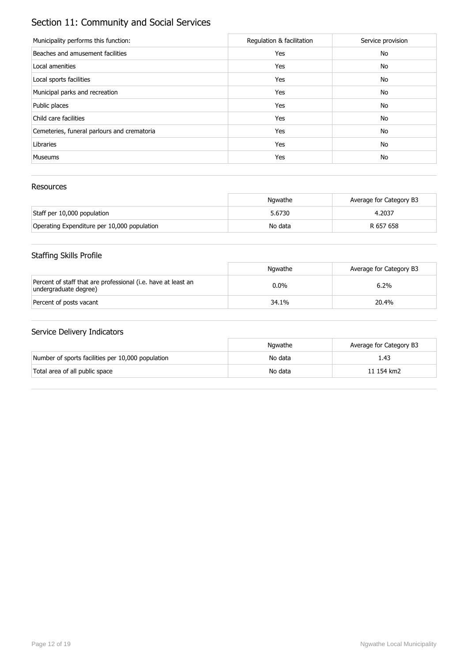# Section 11: Community and Social Services

| Municipality performs this function:        | Regulation & facilitation | Service provision |
|---------------------------------------------|---------------------------|-------------------|
| Beaches and amusement facilities            | Yes                       | No                |
| Local amenities                             | Yes                       | No                |
| Local sports facilities                     | Yes                       | No                |
| Municipal parks and recreation              | Yes                       | No                |
| Public places                               | Yes                       | No                |
| Child care facilities                       | Yes                       | No                |
| Cemeteries, funeral parlours and crematoria | Yes                       | No                |
| Libraries                                   | Yes                       | No                |
| <b>Museums</b>                              | Yes                       | No                |

### Resources

|                                             | Ngwathe | Average for Category B3 |
|---------------------------------------------|---------|-------------------------|
| Staff per 10,000 population                 | 5.6730  | 4.2037                  |
| Operating Expenditure per 10,000 population | No data | R 657 658               |

# Staffing Skills Profile

|                                                                                        | Ngwathe | Average for Category B3 |
|----------------------------------------------------------------------------------------|---------|-------------------------|
| Percent of staff that are professional (i.e. have at least an<br>undergraduate degree) | $0.0\%$ | 6.2%                    |
| Percent of posts vacant                                                                | 34.1%   | 20.4%                   |

|                                                   | Nawathe | Average for Category B3 |
|---------------------------------------------------|---------|-------------------------|
| Number of sports facilities per 10,000 population | No data | 1.43                    |
| Total area of all public space                    | No data | 11 154 km2              |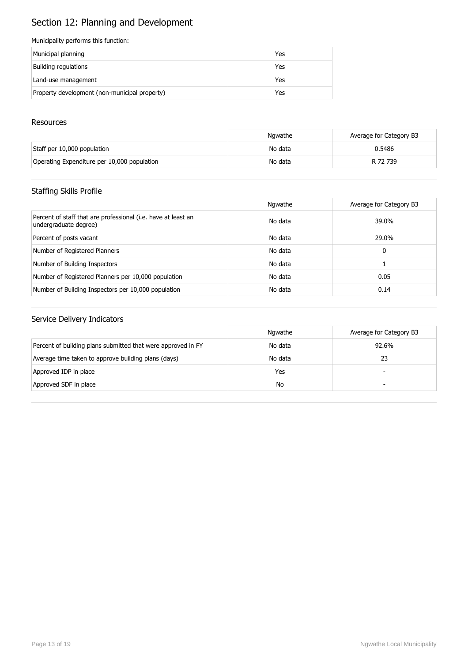# Section 12: Planning and Development

#### Municipality performs this function:

| Municipal planning                            | Yes |
|-----------------------------------------------|-----|
| Building regulations                          | Yes |
| Land-use management                           | Yes |
| Property development (non-municipal property) | Yes |

#### **Resources**

|                                             | Ngwathe | Average for Category B3 |
|---------------------------------------------|---------|-------------------------|
| Staff per 10,000 population                 | No data | 0.5486                  |
| Operating Expenditure per 10,000 population | No data | R 72 739                |

## Staffing Skills Profile

|                                                                                        | Ngwathe | Average for Category B3 |
|----------------------------------------------------------------------------------------|---------|-------------------------|
| Percent of staff that are professional (i.e. have at least an<br>undergraduate degree) | No data | 39.0%                   |
| Percent of posts vacant                                                                | No data | 29.0%                   |
| Number of Registered Planners                                                          | No data | 0                       |
| Number of Building Inspectors                                                          | No data |                         |
| Number of Registered Planners per 10,000 population                                    | No data | 0.05                    |
| Number of Building Inspectors per 10,000 population                                    | No data | 0.14                    |

|                                                              | Ngwathe | Average for Category B3  |
|--------------------------------------------------------------|---------|--------------------------|
| Percent of building plans submitted that were approved in FY | No data | 92.6%                    |
| Average time taken to approve building plans (days)          | No data | 23                       |
| Approved IDP in place                                        | Yes     | $\overline{\phantom{0}}$ |
| Approved SDF in place                                        | No      | -                        |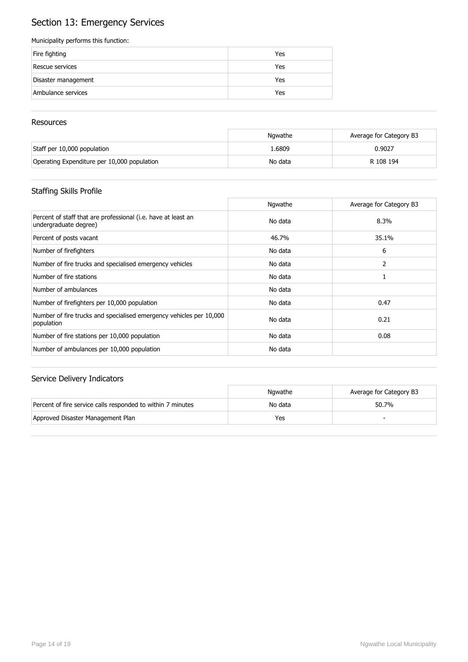# Section 13: Emergency Services

#### Municipality performs this function:

| Fire fighting       | Yes |
|---------------------|-----|
| Rescue services     | Yes |
| Disaster management | Yes |
| Ambulance services  | Yes |

#### **Resources**

|                                             | Ngwathe | Average for Category B3 |
|---------------------------------------------|---------|-------------------------|
| Staff per 10,000 population                 | 1.6809  | 0.9027                  |
| Operating Expenditure per 10,000 population | No data | R 108 194               |

## Staffing Skills Profile

|                                                                                        | Ngwathe | Average for Category B3 |
|----------------------------------------------------------------------------------------|---------|-------------------------|
| Percent of staff that are professional (i.e. have at least an<br>undergraduate degree) | No data | 8.3%                    |
| Percent of posts vacant                                                                | 46.7%   | 35.1%                   |
| Number of firefighters                                                                 | No data | 6                       |
| Number of fire trucks and specialised emergency vehicles                               | No data | 2                       |
| Number of fire stations                                                                | No data |                         |
| Number of ambulances                                                                   | No data |                         |
| Number of firefighters per 10,000 population                                           | No data | 0.47                    |
| Number of fire trucks and specialised emergency vehicles per 10,000<br>population      | No data | 0.21                    |
| Number of fire stations per 10,000 population                                          | No data | 0.08                    |
| Number of ambulances per 10,000 population                                             | No data |                         |

|                                                             | Nawathe | Average for Category B3 |
|-------------------------------------------------------------|---------|-------------------------|
| Percent of fire service calls responded to within 7 minutes | No data | 50.7%                   |
| Approved Disaster Management Plan                           | Yes     |                         |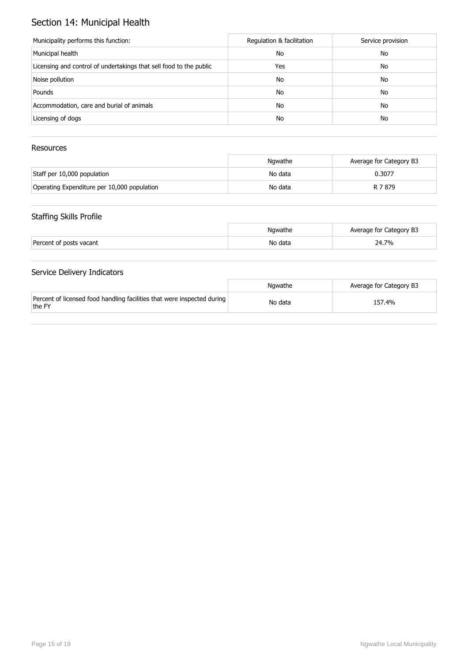# Section 14: Municipal Health

| Municipality performs this function:                               | Regulation & facilitation | Service provision |
|--------------------------------------------------------------------|---------------------------|-------------------|
| Municipal health                                                   | No                        | No                |
| Licensing and control of undertakings that sell food to the public | Yes                       | No                |
| Noise pollution                                                    | No                        | No                |
| Pounds                                                             | No                        | No                |
| Accommodation, care and burial of animals                          | No                        | No                |
| Licensing of dogs                                                  | No                        | No                |

### Resources

|                                             | Ngwathe | Average for Category B3 |
|---------------------------------------------|---------|-------------------------|
| Staff per 10,000 population                 | No data | 0.3077                  |
| Operating Expenditure per 10,000 population | No data | R 7 879                 |

## Staffing Skills Profile

|                         | Ngwathe | Average for Category B3 |
|-------------------------|---------|-------------------------|
| Percent of posts vacant | No data | 24.7%                   |

|                                                                                   | Nawathe | Average for Category B3 |
|-----------------------------------------------------------------------------------|---------|-------------------------|
| Percent of licensed food handling facilities that were inspected during<br>the FY | No data | 157.4%                  |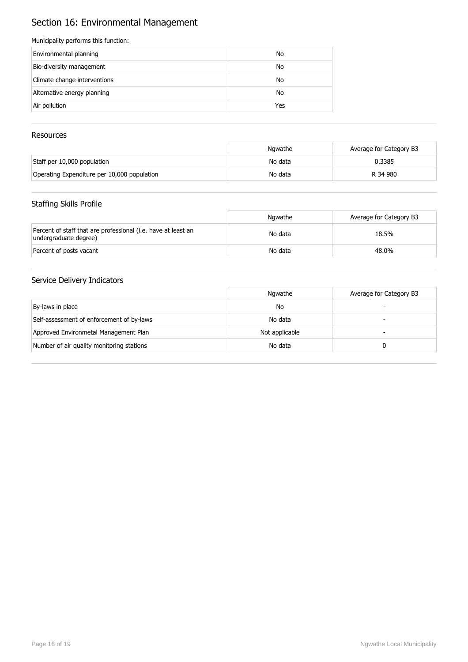# Section 16: Environmental Management

#### Municipality performs this function:

| Environmental planning       | No  |
|------------------------------|-----|
| Bio-diversity management     | No  |
| Climate change interventions | No  |
| Alternative energy planning  | No  |
| Air pollution                | Yes |

### Resources

|                                             | Nawathe | Average for Category B3 |
|---------------------------------------------|---------|-------------------------|
| Staff per 10,000 population                 | No data | 0.3385                  |
| Operating Expenditure per 10,000 population | No data | R 34 980                |

### Staffing Skills Profile

|                                                                                        | Ngwathe | Average for Category B3 |
|----------------------------------------------------------------------------------------|---------|-------------------------|
| Percent of staff that are professional (i.e. have at least an<br>undergraduate degree) | No data | 18.5%                   |
| Percent of posts vacant                                                                | No data | 48.0%                   |

|                                           | Ngwathe        | Average for Category B3 |
|-------------------------------------------|----------------|-------------------------|
| By-laws in place                          | No             |                         |
| Self-assessment of enforcement of by-laws | No data        | -                       |
| Approved Environmetal Management Plan     | Not applicable | -                       |
| Number of air quality monitoring stations | No data        |                         |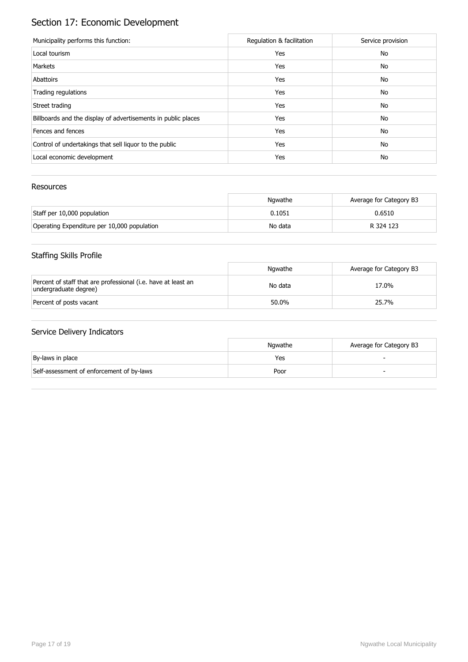# Section 17: Economic Development

| Municipality performs this function:                          | Regulation & facilitation | Service provision |
|---------------------------------------------------------------|---------------------------|-------------------|
| Local tourism                                                 | Yes                       | No                |
| Markets                                                       | Yes                       | No                |
| Abattoirs                                                     | Yes                       | No                |
| Trading regulations                                           | Yes                       | No                |
| Street trading                                                | Yes                       | No                |
| Billboards and the display of advertisements in public places | Yes                       | No                |
| Fences and fences                                             | Yes                       | No                |
| Control of undertakings that sell liquor to the public        | Yes                       | No                |
| Local economic development                                    | Yes                       | No                |

### Resources

|                                             | Ngwathe | Average for Category B3 |
|---------------------------------------------|---------|-------------------------|
| Staff per 10,000 population                 | 0.1051  | 0.6510                  |
| Operating Expenditure per 10,000 population | No data | R 324 123               |

# Staffing Skills Profile

|                                                                                        | Ngwathe | Average for Category B3 |
|----------------------------------------------------------------------------------------|---------|-------------------------|
| Percent of staff that are professional (i.e. have at least an<br>undergraduate degree) | No data | 17.0%                   |
| Percent of posts vacant                                                                | 50.0%   | 25.7%                   |

|                                           | Ngwathe | Average for Category B3 |
|-------------------------------------------|---------|-------------------------|
| By-laws in place                          | Yes     |                         |
| Self-assessment of enforcement of by-laws | Poor    |                         |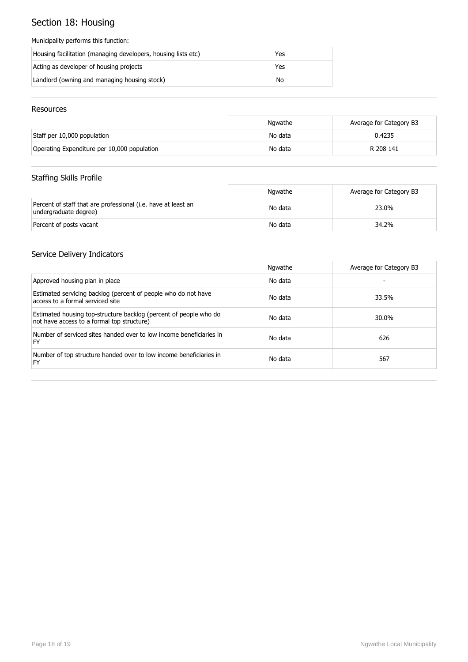# Section 18: Housing

#### Municipality performs this function:

| Housing facilitation (managing developers, housing lists etc) | Yes |
|---------------------------------------------------------------|-----|
| Acting as developer of housing projects                       | Yes |
| Landlord (owning and managing housing stock)                  | No  |

#### Resources

|                                             | Ngwathe | Average for Category B3 |
|---------------------------------------------|---------|-------------------------|
| Staff per 10,000 population                 | No data | 0.4235                  |
| Operating Expenditure per 10,000 population | No data | R 208 141               |

## Staffing Skills Profile

|                                                                                        | Ngwathe | Average for Category B3 |
|----------------------------------------------------------------------------------------|---------|-------------------------|
| Percent of staff that are professional (i.e. have at least an<br>undergraduate degree) | No data | 23.0%                   |
| Percent of posts vacant                                                                | No data | 34.2%                   |

|                                                                                                                 | Ngwathe | Average for Category B3 |
|-----------------------------------------------------------------------------------------------------------------|---------|-------------------------|
| Approved housing plan in place                                                                                  | No data |                         |
| Estimated servicing backlog (percent of people who do not have<br>access to a formal serviced site              | No data | 33.5%                   |
| Estimated housing top-structure backlog (percent of people who do<br>not have access to a formal top structure) | No data | 30.0%                   |
| Number of serviced sites handed over to low income beneficiaries in<br>FY                                       | No data | 626                     |
| Number of top structure handed over to low income beneficiaries in<br>FY                                        | No data | 567                     |